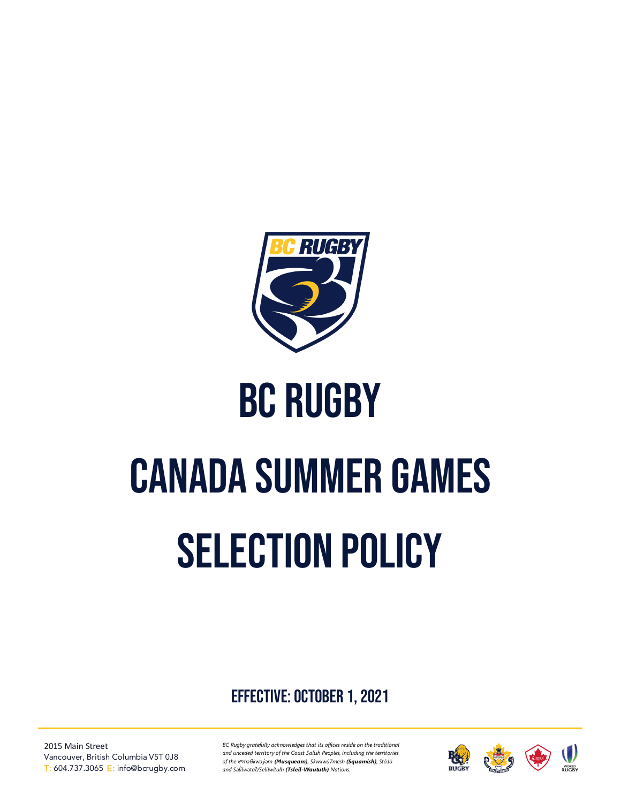

# BC Rugby

# Canada summer games SELECTION POLICY

effective: October 1, 2021

2015 Main Street Vancouver, British Columbia V5T 0J8 T: 604.737.3065 E: info@bcrugby.com

*BC Rugby gratefully acknowledges that its offices reside on the traditional and unceded territory of the Coast Salish Peoples, including the territories of the xʷməθkwəy̓əm (Musqueam), Skwxwú7mesh (Squamish), Stó:lō and Səl̓ ílwətaʔ/Selilwitulh (Tsleil-Waututh) Nations.*

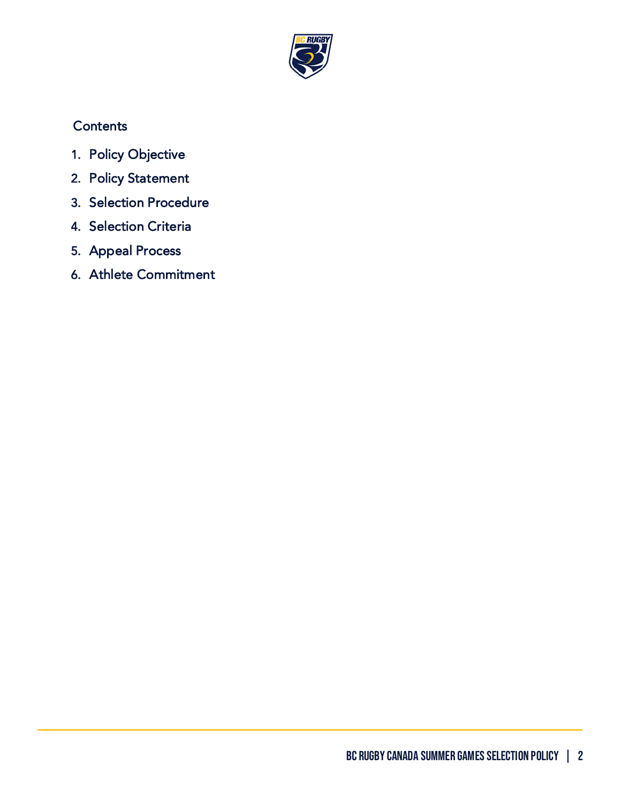

# **Contents**

- 1. [Policy Objective](#page-2-0)
- 2. [Policy Statement](#page-2-1)
- 3. [Selection Procedure](#page-2-2)
- 4. [Selection Criteria](#page-4-0)
- 5. [Appeal Process](#page-5-0)
- 6. [Athlete Commitment](#page-6-0)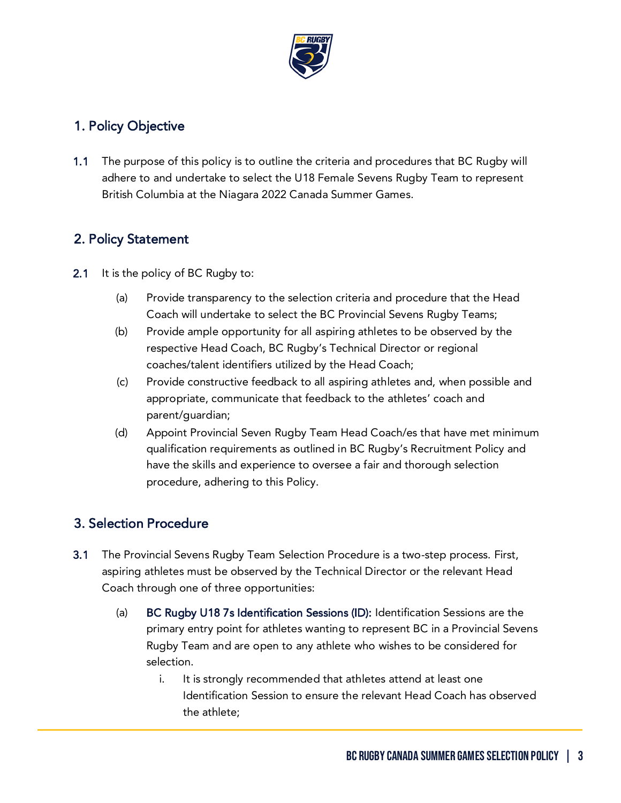

### <span id="page-2-0"></span>1. Policy Objective

1.1 The purpose of this policy is to outline the criteria and procedures that BC Rugby will adhere to and undertake to select the U18 Female Sevens Rugby Team to represent British Columbia at the Niagara 2022 Canada Summer Games.

#### <span id="page-2-1"></span>2. Policy Statement

- 2.1 It is the policy of BC Rugby to:
	- (a) Provide transparency to the selection criteria and procedure that the Head Coach will undertake to select the BC Provincial Sevens Rugby Teams;
	- (b) Provide ample opportunity for all aspiring athletes to be observed by the respective Head Coach, BC Rugby's Technical Director or regional coaches/talent identifiers utilized by the Head Coach;
	- (c) Provide constructive feedback to all aspiring athletes and, when possible and appropriate, communicate that feedback to the athletes' coach and parent/guardian;
	- (d) Appoint Provincial Seven Rugby Team Head Coach/es that have met minimum qualification requirements as outlined in BC Rugby's Recruitment Policy and have the skills and experience to oversee a fair and thorough selection procedure, adhering to this Policy.

## <span id="page-2-2"></span>3. Selection Procedure

- 3.1 The Provincial Sevens Rugby Team Selection Procedure is a two-step process. First, aspiring athletes must be observed by the Technical Director or the relevant Head Coach through one of three opportunities:
	- (a) BC Rugby U18 7s Identification Sessions (ID): Identification Sessions are the primary entry point for athletes wanting to represent BC in a Provincial Sevens Rugby Team and are open to any athlete who wishes to be considered for selection.
		- i. It is strongly recommended that athletes attend at least one Identification Session to ensure the relevant Head Coach has observed the athlete;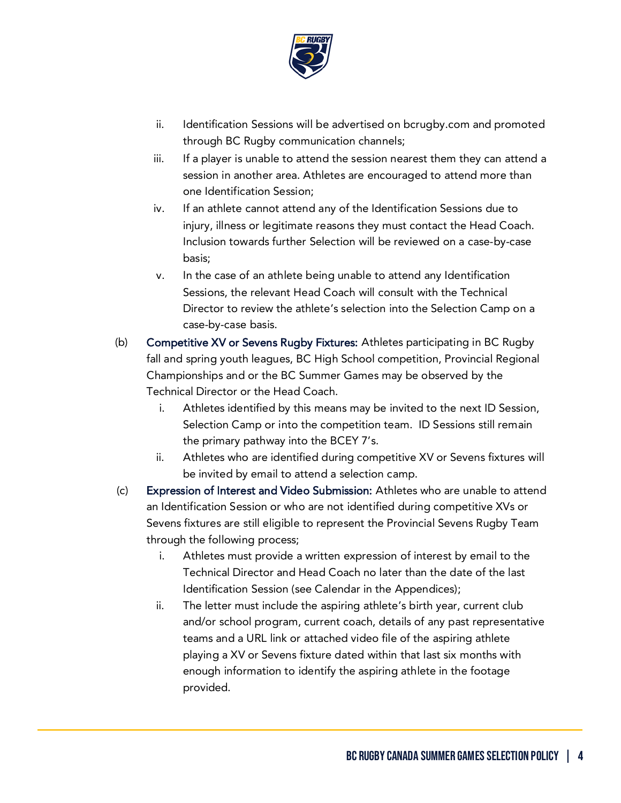

- ii. Identification Sessions will be advertised on bcrugby.com and promoted through BC Rugby communication channels;
- iii. If a player is unable to attend the session nearest them they can attend a session in another area. Athletes are encouraged to attend more than one Identification Session;
- iv. If an athlete cannot attend any of the Identification Sessions due to injury, illness or legitimate reasons they must contact the Head Coach. Inclusion towards further Selection will be reviewed on a case-by-case basis;
- v. In the case of an athlete being unable to attend any Identification Sessions, the relevant Head Coach will consult with the Technical Director to review the athlete's selection into the Selection Camp on a case-by-case basis.
- (b) Competitive XV or Sevens Rugby Fixtures: Athletes participating in BC Rugby fall and spring youth leagues, BC High School competition, Provincial Regional Championships and or the BC Summer Games may be observed by the Technical Director or the Head Coach.
	- i. Athletes identified by this means may be invited to the next ID Session, Selection Camp or into the competition team. ID Sessions still remain the primary pathway into the BCEY 7's.
	- ii. Athletes who are identified during competitive XV or Sevens fixtures will be invited by email to attend a selection camp.
- (c) Expression of Interest and Video Submission: Athletes who are unable to attend an Identification Session or who are not identified during competitive XVs or Sevens fixtures are still eligible to represent the Provincial Sevens Rugby Team through the following process;
	- i. Athletes must provide a written expression of interest by email to the Technical Director and Head Coach no later than the date of the last Identification Session (see Calendar in the Appendices);
	- ii. The letter must include the aspiring athlete's birth year, current club and/or school program, current coach, details of any past representative teams and a URL link or attached video file of the aspiring athlete playing a XV or Sevens fixture dated within that last six months with enough information to identify the aspiring athlete in the footage provided.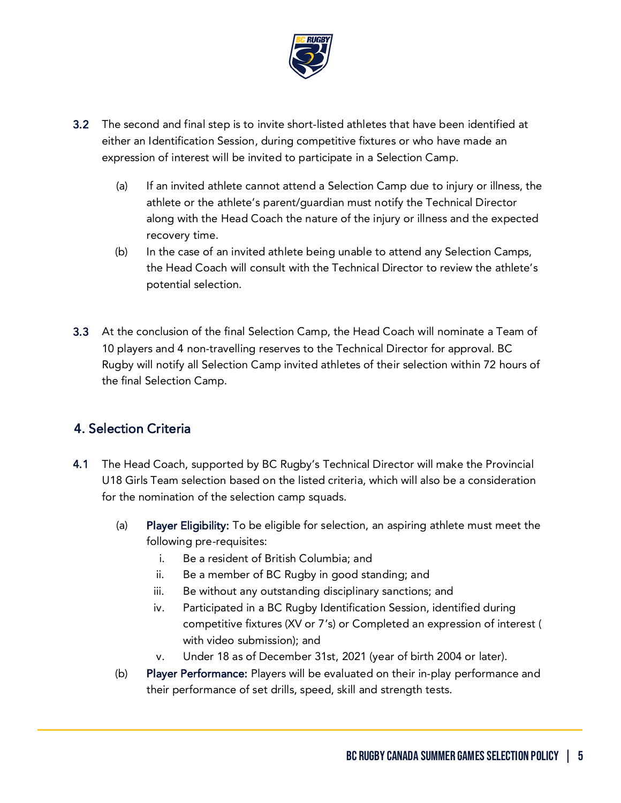

- 3.2 The second and final step is to invite short-listed athletes that have been identified at either an Identification Session, during competitive fixtures or who have made an expression of interest will be invited to participate in a Selection Camp.
	- (a) If an invited athlete cannot attend a Selection Camp due to injury or illness, the athlete or the athlete's parent/guardian must notify the Technical Director along with the Head Coach the nature of the injury or illness and the expected recovery time.
	- (b) In the case of an invited athlete being unable to attend any Selection Camps, the Head Coach will consult with the Technical Director to review the athlete's potential selection.
- 3.3 At the conclusion of the final Selection Camp, the Head Coach will nominate a Team of 10 players and 4 non-travelling reserves to the Technical Director for approval. BC Rugby will notify all Selection Camp invited athletes of their selection within 72 hours of the final Selection Camp.

#### <span id="page-4-0"></span>4. Selection Criteria

- 4.1 The Head Coach, supported by BC Rugby's Technical Director will make the Provincial U18 Girls Team selection based on the listed criteria, which will also be a consideration for the nomination of the selection camp squads.
	- (a) Player Eligibility: To be eligible for selection, an aspiring athlete must meet the following pre-requisites:
		- i. Be a resident of British Columbia; and
		- ii. Be a member of BC Rugby in good standing; and
		- iii. Be without any outstanding disciplinary sanctions; and
		- iv. Participated in a BC Rugby Identification Session, identified during competitive fixtures (XV or 7's) or Completed an expression of interest ( with video submission); and
		- v. Under 18 as of December 31st, 2021 (year of birth 2004 or later).
	- (b) Player Performance: Players will be evaluated on their in-play performance and their performance of set drills, speed, skill and strength tests.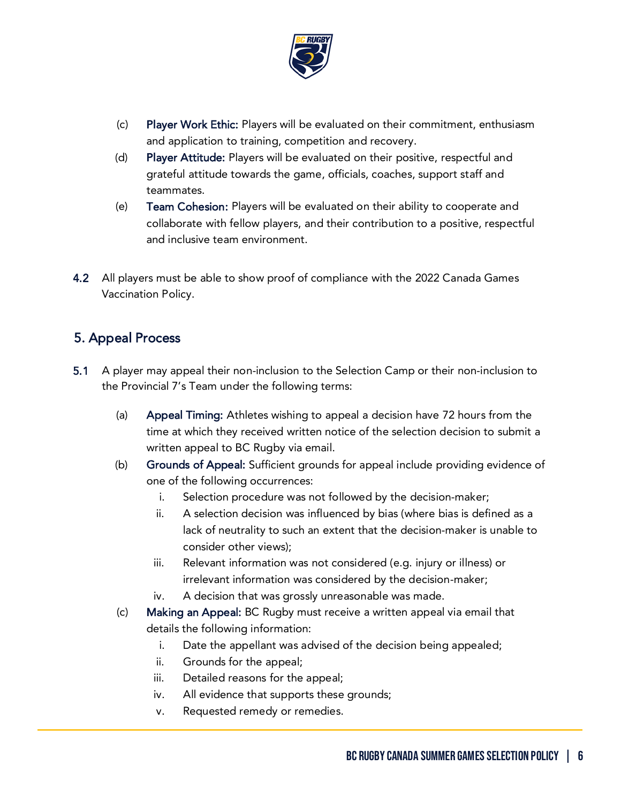

- (c) Player Work Ethic: Players will be evaluated on their commitment, enthusiasm and application to training, competition and recovery.
- (d) Player Attitude: Players will be evaluated on their positive, respectful and grateful attitude towards the game, officials, coaches, support staff and teammates.
- (e) Team Cohesion: Players will be evaluated on their ability to cooperate and collaborate with fellow players, and their contribution to a positive, respectful and inclusive team environment.
- 4.2 All players must be able to show proof of compliance with the 2022 Canada Games Vaccination Policy.

#### <span id="page-5-0"></span>5. Appeal Process

- 5.1 A player may appeal their non-inclusion to the Selection Camp or their non-inclusion to the Provincial 7's Team under the following terms:
	- (a) Appeal Timing: Athletes wishing to appeal a decision have 72 hours from the time at which they received written notice of the selection decision to submit a written appeal to BC Rugby via email.
	- (b) Grounds of Appeal: Sufficient grounds for appeal include providing evidence of one of the following occurrences:
		- i. Selection procedure was not followed by the decision-maker;
		- ii. A selection decision was influenced by bias (where bias is defined as a lack of neutrality to such an extent that the decision-maker is unable to consider other views);
		- iii. Relevant information was not considered (e.g. injury or illness) or irrelevant information was considered by the decision-maker;
		- iv. A decision that was grossly unreasonable was made.
	- (c) Making an Appeal: BC Rugby must receive a written appeal via email that details the following information:
		- i. Date the appellant was advised of the decision being appealed;
		- ii. Grounds for the appeal;
		- iii. Detailed reasons for the appeal;
		- iv. All evidence that supports these grounds;
		- v. Requested remedy or remedies.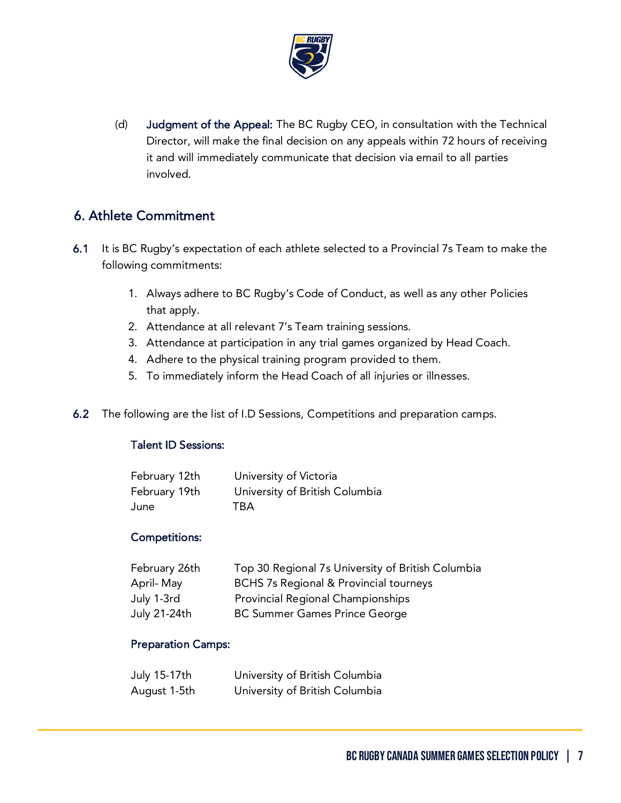

(d) Judgment of the Appeal: The BC Rugby CEO, in consultation with the Technical Director, will make the final decision on any appeals within 72 hours of receiving it and will immediately communicate that decision via email to all parties involved.

#### <span id="page-6-0"></span>6. Athlete Commitment

- 6.1 It is BC Rugby's expectation of each athlete selected to a Provincial 7s Team to make the following commitments:
	- 1. Always adhere to BC Rugby's Code of Conduct, as well as any other Policies that apply.
	- 2. Attendance at all relevant 7's Team training sessions.
	- 3. Attendance at participation in any trial games organized by Head Coach.
	- 4. Adhere to the physical training program provided to them.
	- 5. To immediately inform the Head Coach of all injuries or illnesses.
- 6.2 The following are the list of I.D Sessions, Competitions and preparation camps.

#### Talent ID Sessions:

| February 12th | University of Victoria         |
|---------------|--------------------------------|
| February 19th | University of British Columbia |
| June          | <b>TBA</b>                     |

#### Competitions:

| February 26th | Top 30 Regional 7s University of British Columbia |
|---------------|---------------------------------------------------|
| April-May     | <b>BCHS 7s Regional &amp; Provincial tourneys</b> |
| July 1-3rd    | <b>Provincial Regional Championships</b>          |
| July 21-24th  | <b>BC Summer Games Prince George</b>              |

#### Preparation Camps:

| July 15-17th | University of British Columbia |
|--------------|--------------------------------|
| August 1-5th | University of British Columbia |